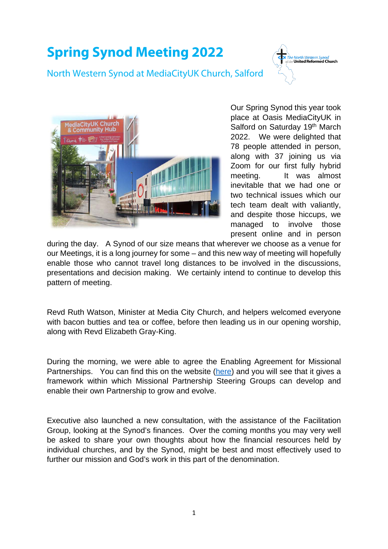## **Spring Synod Meeting 2022**

North Western Synod at MediaCityUK Church, Salford





Our Spring Synod this year took place at Oasis MediaCityUK in Salford on Saturday 19th March 2022. We were delighted that 78 people attended in person, along with 37 joining us via Zoom for our first fully hybrid meeting. It was almost inevitable that we had one or two technical issues which our tech team dealt with valiantly, and despite those hiccups, we managed to involve those present online and in person

during the day. A Synod of our size means that wherever we choose as a venue for our Meetings, it is a long journey for some – and this new way of meeting will hopefully enable those who cannot travel long distances to be involved in the discussions, presentations and decision making. We certainly intend to continue to develop this pattern of meeting.

Revd Ruth Watson, Minister at Media City Church, and helpers welcomed everyone with bacon butties and tea or coffee, before then leading us in our opening worship. along with Revd Elizabeth Gray-King.

During the morning, we were able to agree the Enabling Agreement for Missional Partnerships. You can find this on the website [\(here\)](https://nwsynod.org.uk/wp-content/uploads/2022/04/Missional-Partnership-Enabling-Agreement.pdf) and you will see that it gives a framework within which Missional Partnership Steering Groups can develop and enable their own Partnership to grow and evolve.

Executive also launched a new consultation, with the assistance of the Facilitation Group, looking at the Synod's finances. Over the coming months you may very well be asked to share your own thoughts about how the financial resources held by individual churches, and by the Synod, might be best and most effectively used to further our mission and God's work in this part of the denomination.